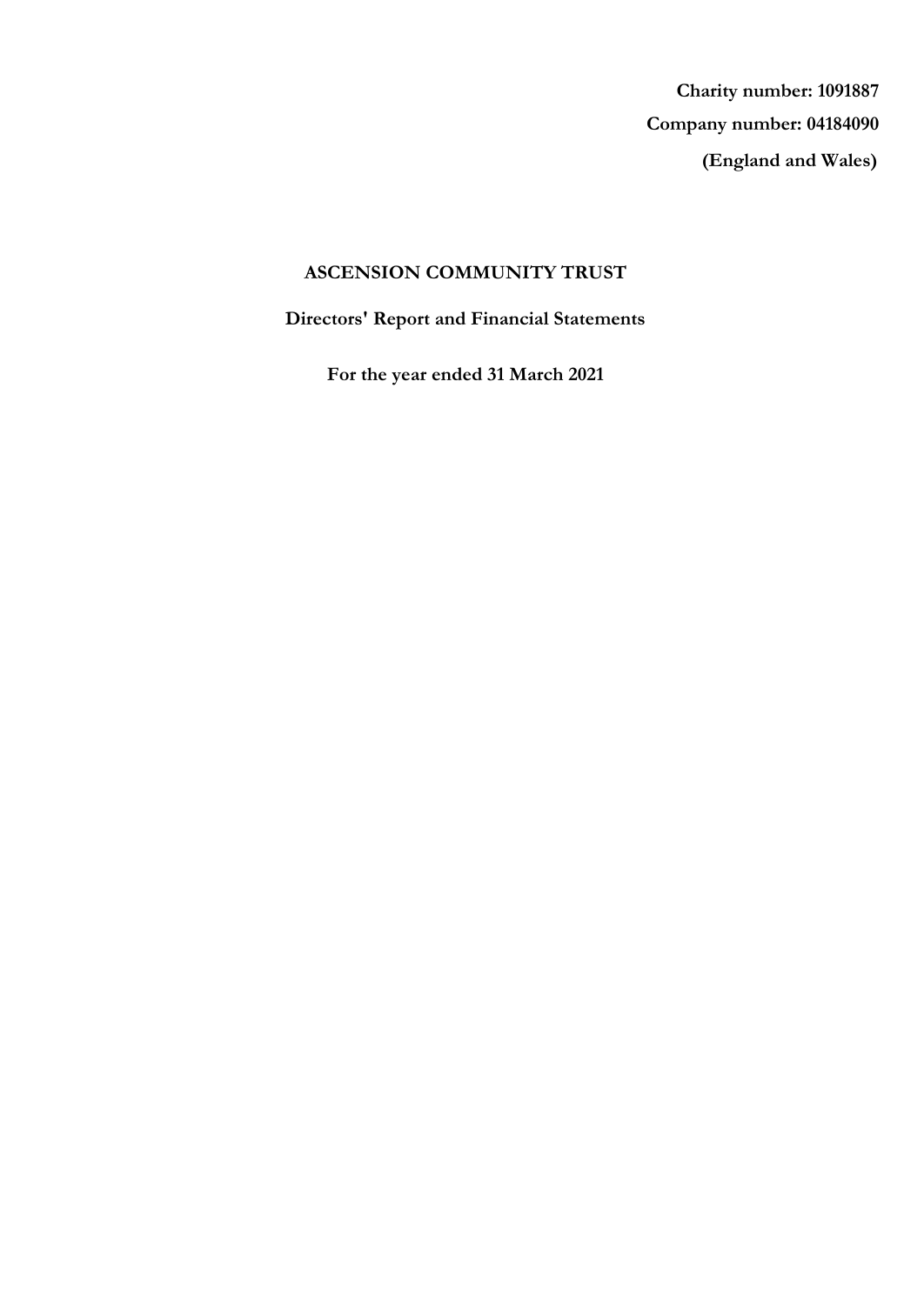**(England and Wales) Company number: 04184090 Charity number: 1091887**

# **ASCENSION COMMUNITY TRUST**

**Directors' Report and Financial Statements**

**For the year ended 31 March 2021**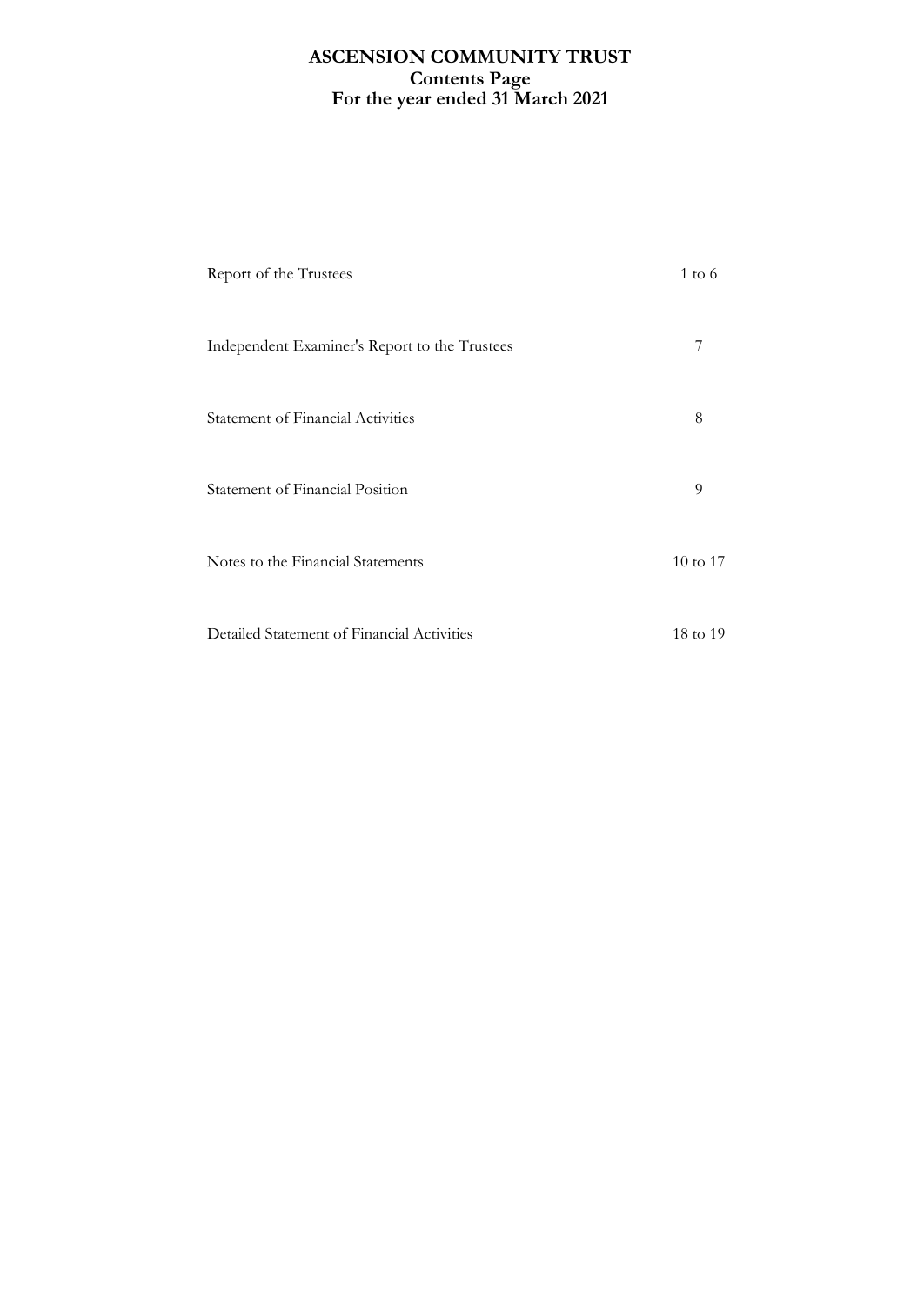# **For the year ended 31 March 2021 ASCENSION COMMUNITY TRUST Contents Page**

| Report of the Trustees                        | $1 \text{ to } 6$ |
|-----------------------------------------------|-------------------|
| Independent Examiner's Report to the Trustees | 7                 |
| Statement of Financial Activities             | 8                 |
| Statement of Financial Position               | 9                 |
| Notes to the Financial Statements             | 10 to 17          |
| Detailed Statement of Financial Activities    | 18 to 19          |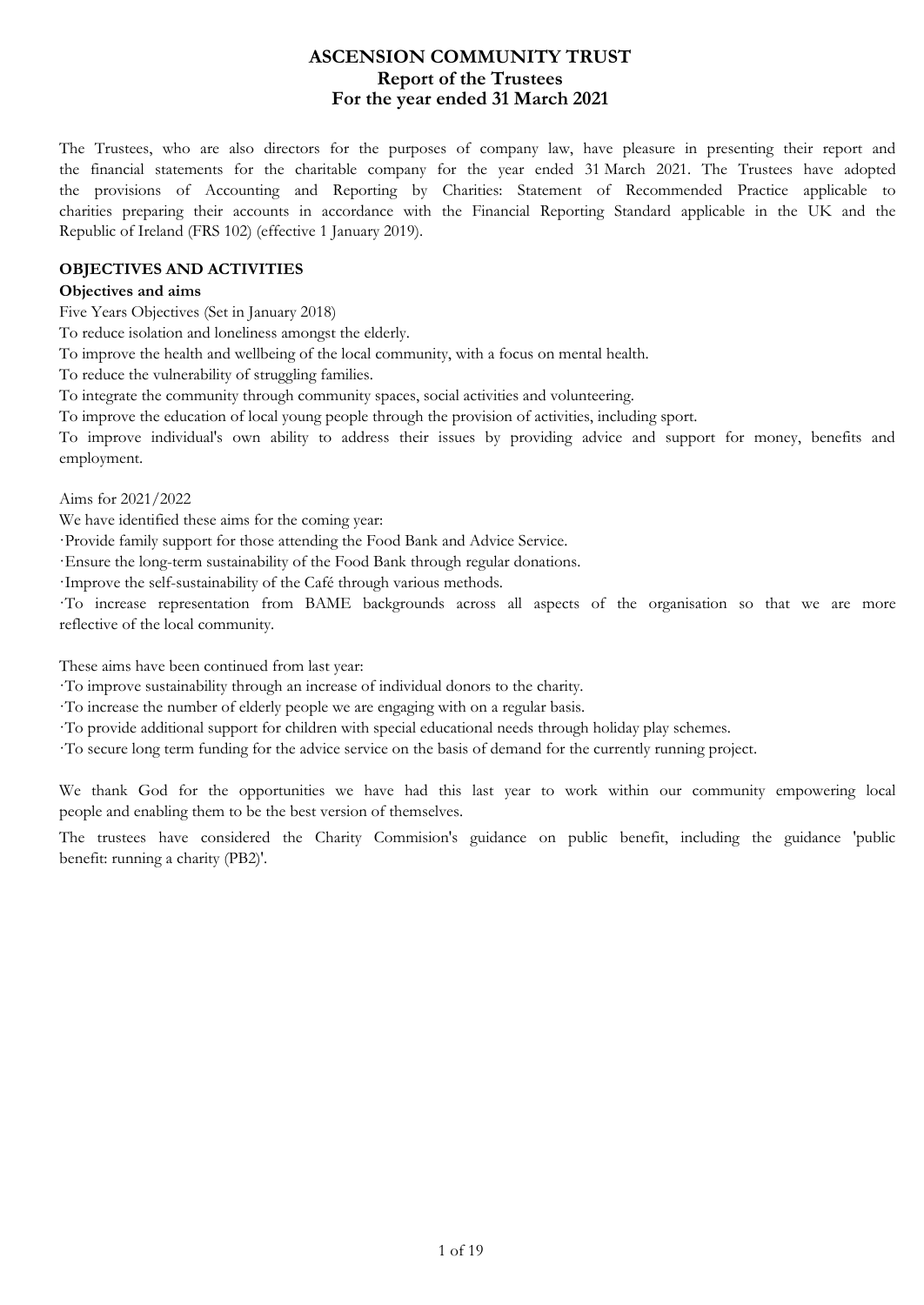## **For the year ended 31 March 2021 ASCENSION COMMUNITY TRUST Report of the Trustees**

The Trustees, who are also directors for the purposes of company law, have pleasure in presenting their report and the financial statements for the charitable company for the year ended 31 March 2021. The Trustees have adopted the provisions of Accounting and Reporting by Charities: Statement of Recommended Practice applicable to charities preparing their accounts in accordance with the Financial Reporting Standard applicable in the UK and the Republic of Ireland (FRS 102) (effective 1 January 2019).

#### **OBJECTIVES AND ACTIVITIES**

#### **Objectives and aims**

Five Years Objectives (Set in January 2018)

To reduce isolation and loneliness amongst the elderly.

To improve the health and wellbeing of the local community, with a focus on mental health.

To reduce the vulnerability of struggling families.

To integrate the community through community spaces, social activities and volunteering.

To improve the education of local young people through the provision of activities, including sport.

To improve individual's own ability to address their issues by providing advice and support for money, benefits and employment.

Aims for 2021/2022

We have identified these aims for the coming year:

·Provide family support for those attending the Food Bank and Advice Service.

·Ensure the long-term sustainability of the Food Bank through regular donations.

·Improve the self-sustainability of the Café through various methods.

·To increase representation from BAME backgrounds across all aspects of the organisation so that we are more reflective of the local community.

These aims have been continued from last year:

·To improve sustainability through an increase of individual donors to the charity.

·To increase the number of elderly people we are engaging with on a regular basis.

·To provide additional support for children with special educational needs through holiday play schemes.

·To secure long term funding for the advice service on the basis of demand for the currently running project.

We thank God for the opportunities we have had this last year to work within our community empowering local people and enabling them to be the best version of themselves.

The trustees have considered the Charity Commision's guidance on public benefit, including the guidance 'public benefit: running a charity (PB2)'.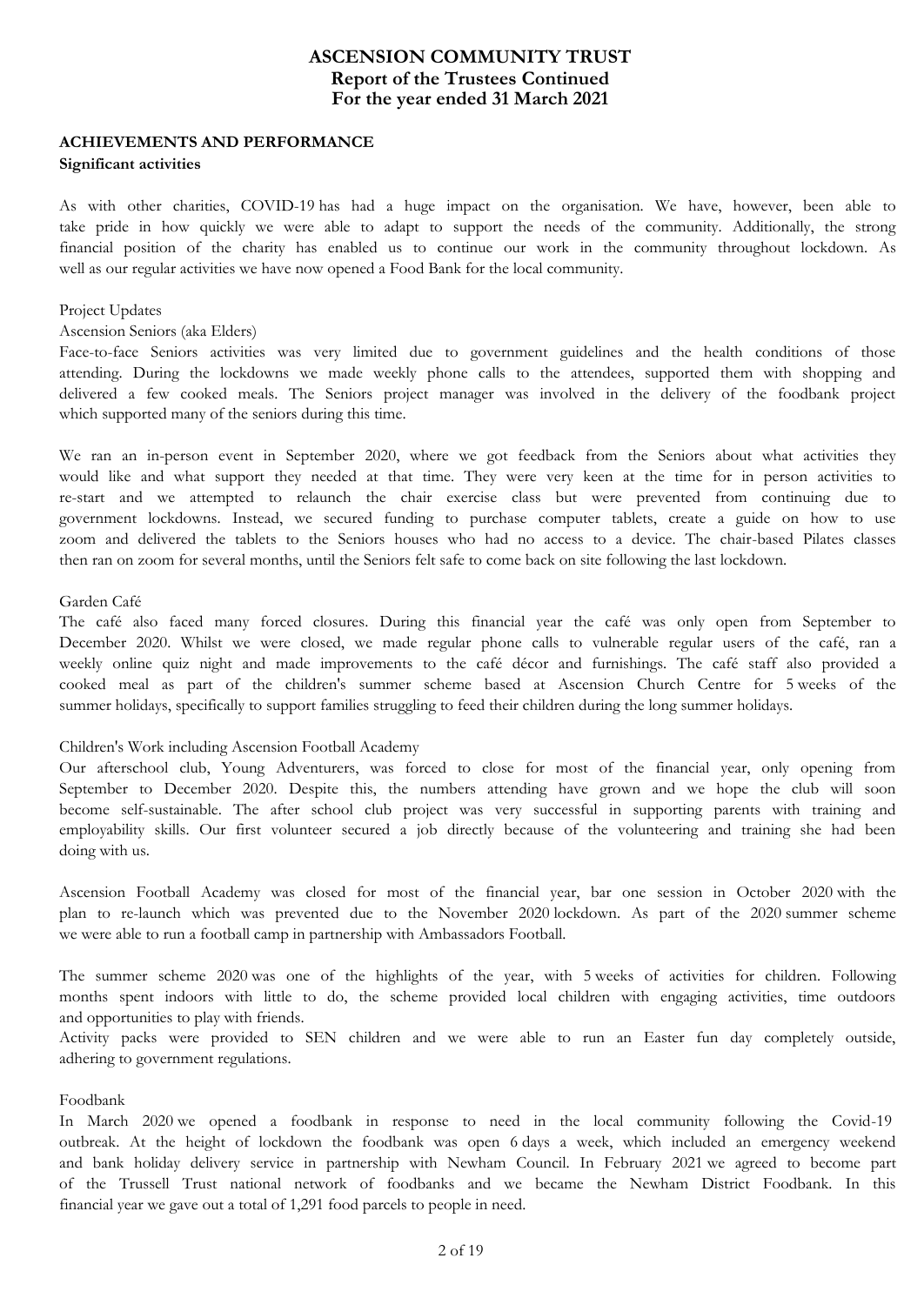## **For the year ended 31 March 2021 ASCENSION COMMUNITY TRUST Report of the Trustees Continued**

# **ACHIEVEMENTS AND PERFORMANCE**

#### **Significant activities**

As with other charities, COVID-19 has had a huge impact on the organisation. We have, however, been able to take pride in how quickly we were able to adapt to support the needs of the community. Additionally, the strong financial position of the charity has enabled us to continue our work in the community throughout lockdown. As well as our regular activities we have now opened a Food Bank for the local community.

#### Project Updates

#### Ascension Seniors (aka Elders)

Face-to-face Seniors activities was very limited due to government guidelines and the health conditions of those attending. During the lockdowns we made weekly phone calls to the attendees, supported them with shopping and delivered a few cooked meals. The Seniors project manager was involved in the delivery of the foodbank project which supported many of the seniors during this time.

We ran an in-person event in September 2020, where we got feedback from the Seniors about what activities they would like and what support they needed at that time. They were very keen at the time for in person activities to re-start and we attempted to relaunch the chair exercise class but were prevented from continuing due to government lockdowns. Instead, we secured funding to purchase computer tablets, create a guide on how to use zoom and delivered the tablets to the Seniors houses who had no access to a device. The chair-based Pilates classes then ran on zoom for several months, until the Seniors felt safe to come back on site following the last lockdown.

#### Garden Café

The café also faced many forced closures. During this financial year the café was only open from September to December 2020. Whilst we were closed, we made regular phone calls to vulnerable regular users of the café, ran a weekly online quiz night and made improvements to the café décor and furnishings. The café staff also provided a cooked meal as part of the children's summer scheme based at Ascension Church Centre for 5 weeks of the summer holidays, specifically to support families struggling to feed their children during the long summer holidays.

### Children's Work including Ascension Football Academy

Our afterschool club, Young Adventurers, was forced to close for most of the financial year, only opening from September to December 2020. Despite this, the numbers attending have grown and we hope the club will soon become self-sustainable. The after school club project was very successful in supporting parents with training and employability skills. Our first volunteer secured a job directly because of the volunteering and training she had been doing with us.

Ascension Football Academy was closed for most of the financial year, bar one session in October 2020 with the plan to re-launch which was prevented due to the November 2020 lockdown. As part of the 2020 summer scheme we were able to run a football camp in partnership with Ambassadors Football.

The summer scheme 2020 was one of the highlights of the year, with 5 weeks of activities for children. Following months spent indoors with little to do, the scheme provided local children with engaging activities, time outdoors and opportunities to play with friends.

Activity packs were provided to SEN children and we were able to run an Easter fun day completely outside, adhering to government regulations.

### Foodbank

In March 2020 we opened a foodbank in response to need in the local community following the Covid-19 outbreak. At the height of lockdown the foodbank was open 6 days a week, which included an emergency weekend and bank holiday delivery service in partnership with Newham Council. In February 2021 we agreed to become part of the Trussell Trust national network of foodbanks and we became the Newham District Foodbank. In this financial year we gave out a total of 1,291 food parcels to people in need.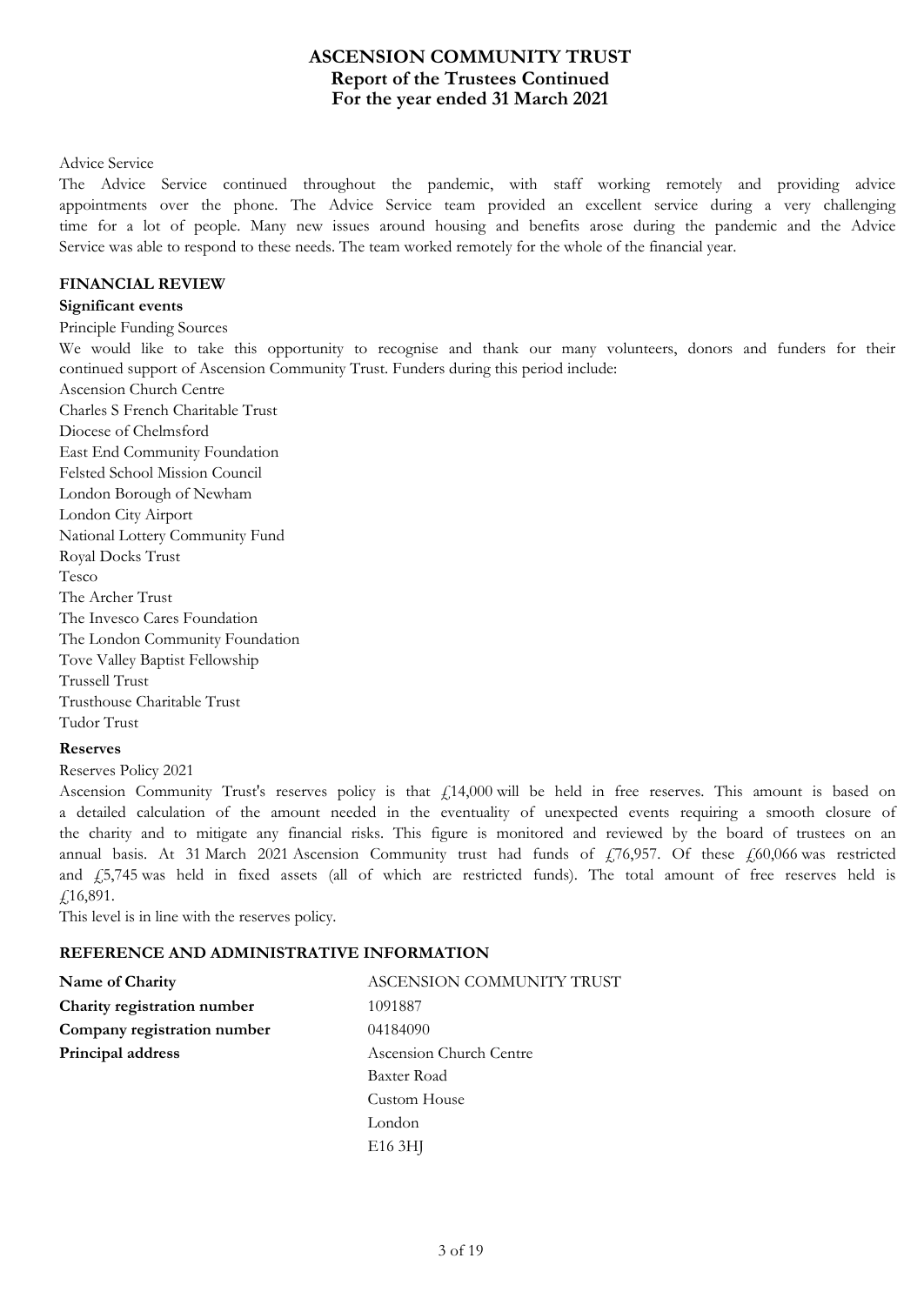## **For the year ended 31 March 2021 ASCENSION COMMUNITY TRUST Report of the Trustees Continued**

#### Advice Service

The Advice Service continued throughout the pandemic, with staff working remotely and providing advice appointments over the phone. The Advice Service team provided an excellent service during a very challenging time for a lot of people. Many new issues around housing and benefits arose during the pandemic and the Advice Service was able to respond to these needs. The team worked remotely for the whole of the financial year.

### **FINANCIAL REVIEW**

### **Significant events**

Principle Funding Sources

We would like to take this opportunity to recognise and thank our many volunteers, donors and funders for their continued support of Ascension Community Trust. Funders during this period include:

Ascension Church Centre Charles S French Charitable Trust

Diocese of Chelmsford East End Community Foundation Felsted School Mission Council London Borough of Newham London City Airport National Lottery Community Fund Royal Docks Trust Tesco The Archer Trust The Invesco Cares Foundation The London Community Foundation Tove Valley Baptist Fellowship Trussell Trust Trusthouse Charitable Trust Tudor Trust

### **Reserves**

Reserves Policy 2021

Ascension Community Trust's reserves policy is that  $£14,000$  will be held in free reserves. This amount is based on a detailed calculation of the amount needed in the eventuality of unexpected events requiring a smooth closure of the charity and to mitigate any financial risks. This figure is monitored and reviewed by the board of trustees on an annual basis. At 31 March 2021 Ascension Community trust had funds of  $f_1$ 76,957. Of these  $f_2$ 60,066 was restricted and  $\frac{1}{2}$ ,5,745 was held in fixed assets (all of which are restricted funds). The total amount of free reserves held is  $£16,891.$ 

This level is in line with the reserves policy.

### **REFERENCE AND ADMINISTRATIVE INFORMATION**

| Name of Charity             | ASCENSION COMMUNITY TRUST |
|-----------------------------|---------------------------|
| Charity registration number | 1091887                   |
| Company registration number | 04184090                  |
| Principal address           | Ascension Church Centre   |
|                             | Baxter Road               |
|                             | Custom House              |
|                             | London                    |
|                             | E <sub>16</sub> 3HJ       |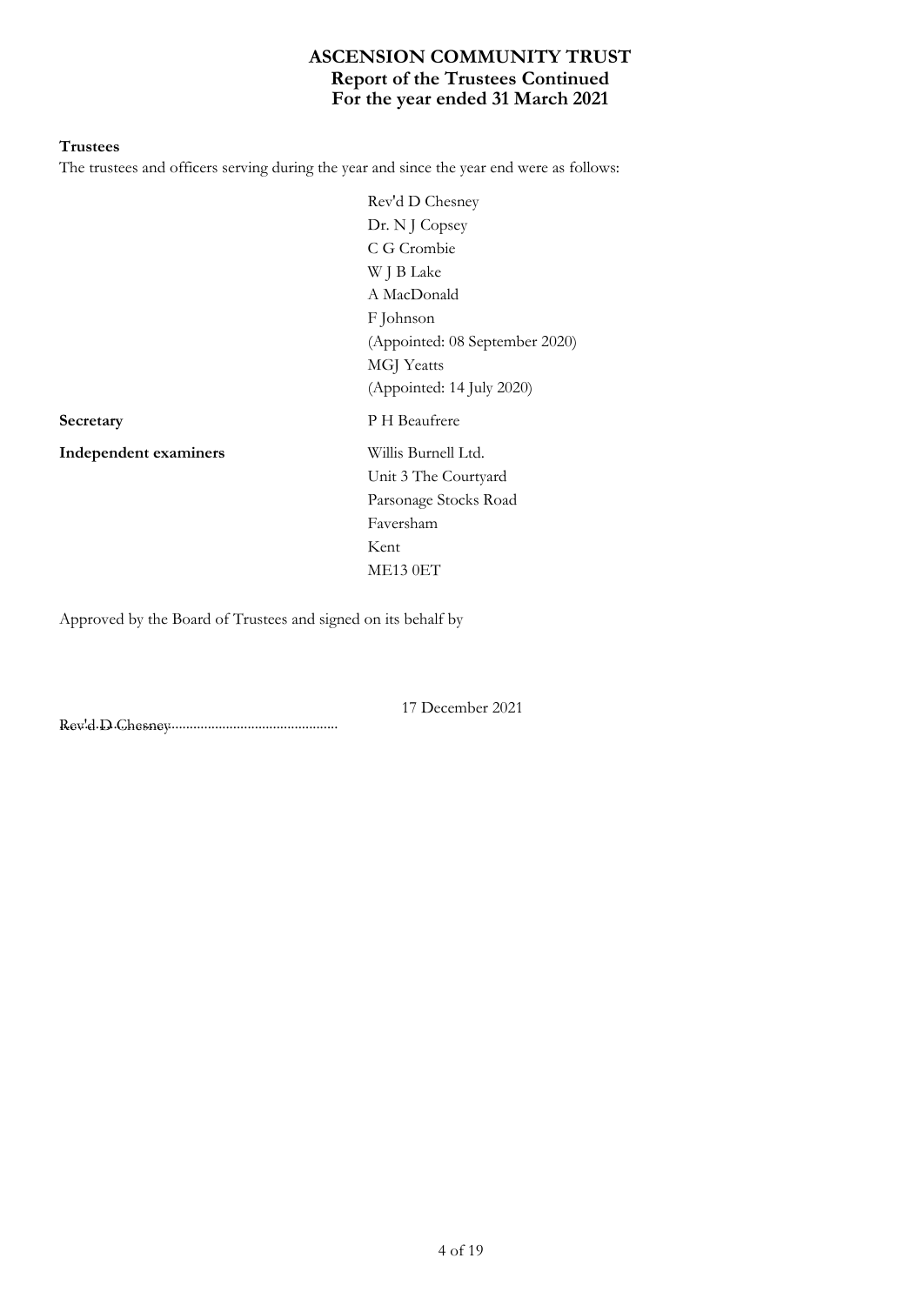# **For the year ended 31 March 2021 ASCENSION COMMUNITY TRUST Report of the Trustees Continued**

#### **Trustees**

The trustees and officers serving during the year and since the year end were as follows:

Rev'd D Chesney Dr. N J Copsey C G Crombie W J B Lake A MacDonald F Johnson (Appointed: 08 September 2020) MGJ Yeatts (Appointed: 14 July 2020) **Secretary** P H Beaufrere Unit 3 The Courtyard Parsonage Stocks Road Faversham Kent ME13 0ET

17 December 2021

**Independent examiners** Willis Burnell Ltd.

Approved by the Board of Trustees and signed on its behalf by

............................................................................. Rev'd D Chesney

4 of 19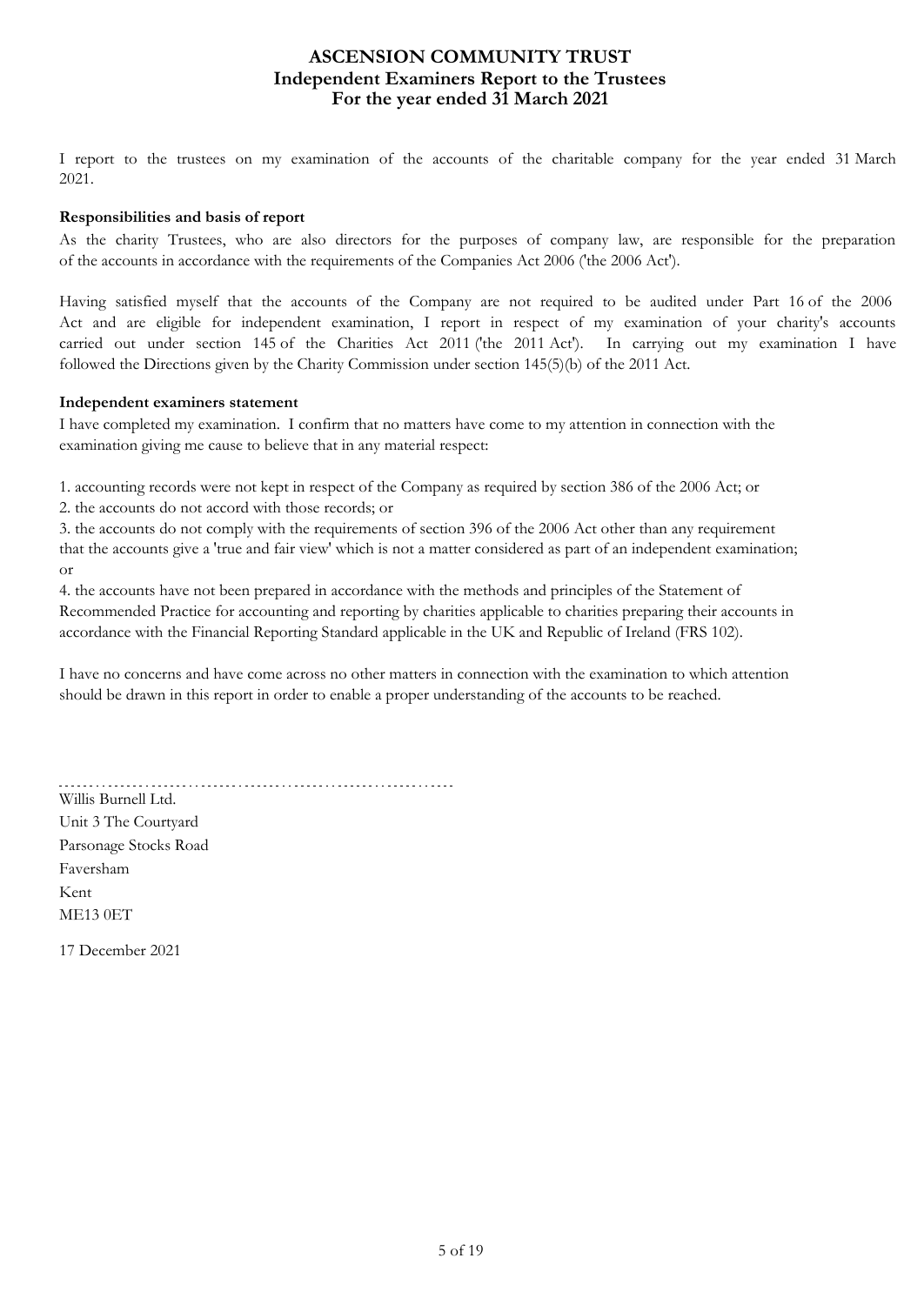## **For the year ended 31 March 2021 ASCENSION COMMUNITY TRUST Independent Examiners Report to the Trustees**

I report to the trustees on my examination of the accounts of the charitable company for the year ended 31 March 2021.

## **Responsibilities and basis of report**

As the charity Trustees, who are also directors for the purposes of company law, are responsible for the preparation of the accounts in accordance with the requirements of the Companies Act 2006 ('the 2006 Act').

Having satisfied myself that the accounts of the Company are not required to be audited under Part 16 of the 2006 Act and are eligible for independent examination, I report in respect of my examination of your charity's accounts carried out under section 145 of the Charities Act 2011 ('the 2011 Act'). In carrying out my examination I have followed the Directions given by the Charity Commission under section 145(5)(b) of the 2011 Act.

## **Independent examiners statement**

I have completed my examination. I confirm that no matters have come to my attention in connection with the examination giving me cause to believe that in any material respect:

1. accounting records were not kept in respect of the Company as required by section 386 of the 2006 Act; or

2. the accounts do not accord with those records; or

3. the accounts do not comply with the requirements of section 396 of the 2006 Act other than any requirement that the accounts give a 'true and fair view' which is not a matter considered as part of an independent examination; or

4. the accounts have not been prepared in accordance with the methods and principles of the Statement of Recommended Practice for accounting and reporting by charities applicable to charities preparing their accounts in accordance with the Financial Reporting Standard applicable in the UK and Republic of Ireland (FRS 102).

I have no concerns and have come across no other matters in connection with the examination to which attention should be drawn in this report in order to enable a proper understanding of the accounts to be reached.

Willis Burnell Ltd. Unit 3 The Courtyard Parsonage Stocks Road Faversham Kent ME13 0ET

17 December 2021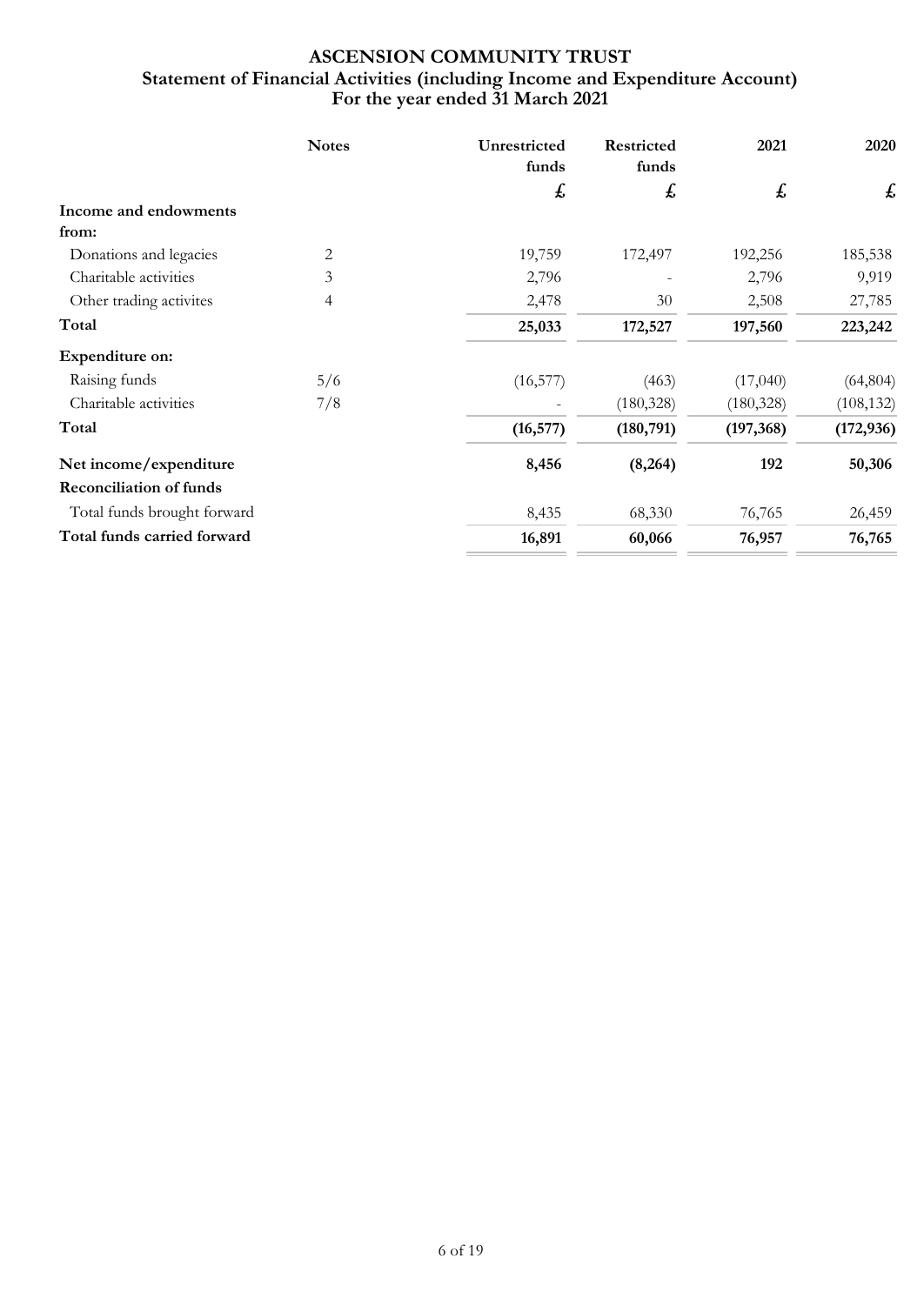# **For the year ended 31 March 2021 ASCENSION COMMUNITY TRUST Statement of Financial Activities (including Income and Expenditure Account)**

|                                | <b>Notes</b> | Unrestricted<br>funds | Restricted<br>funds | 2021       | 2020                      |
|--------------------------------|--------------|-----------------------|---------------------|------------|---------------------------|
|                                |              | £                     | £                   | £          | $\boldsymbol{\mathit{f}}$ |
| Income and endowments          |              |                       |                     |            |                           |
| from:                          |              |                       |                     |            |                           |
| Donations and legacies         | 2            | 19,759                | 172,497             | 192,256    | 185,538                   |
| Charitable activities          | 3            | 2,796                 |                     | 2,796      | 9,919                     |
| Other trading activites        | 4            | 2,478                 | 30                  | 2,508      | 27,785                    |
| Total                          |              | 25,033                | 172,527             | 197,560    | 223,242                   |
| Expenditure on:                |              |                       |                     |            |                           |
| Raising funds                  | 5/6          | (16, 577)             | (463)               | (17,040)   | (64, 804)                 |
| Charitable activities          | 7/8          |                       | (180, 328)          | (180, 328) | (108, 132)                |
| Total                          |              | (16, 577)             | (180, 791)          | (197, 368) | (172, 936)                |
| Net income/expenditure         |              | 8,456                 | (8,264)             | 192        | 50,306                    |
| <b>Reconciliation of funds</b> |              |                       |                     |            |                           |
| Total funds brought forward    |              | 8,435                 | 68,330              | 76,765     | 26,459                    |
| Total funds carried forward    |              | 16,891                | 60,066              | 76,957     | 76,765                    |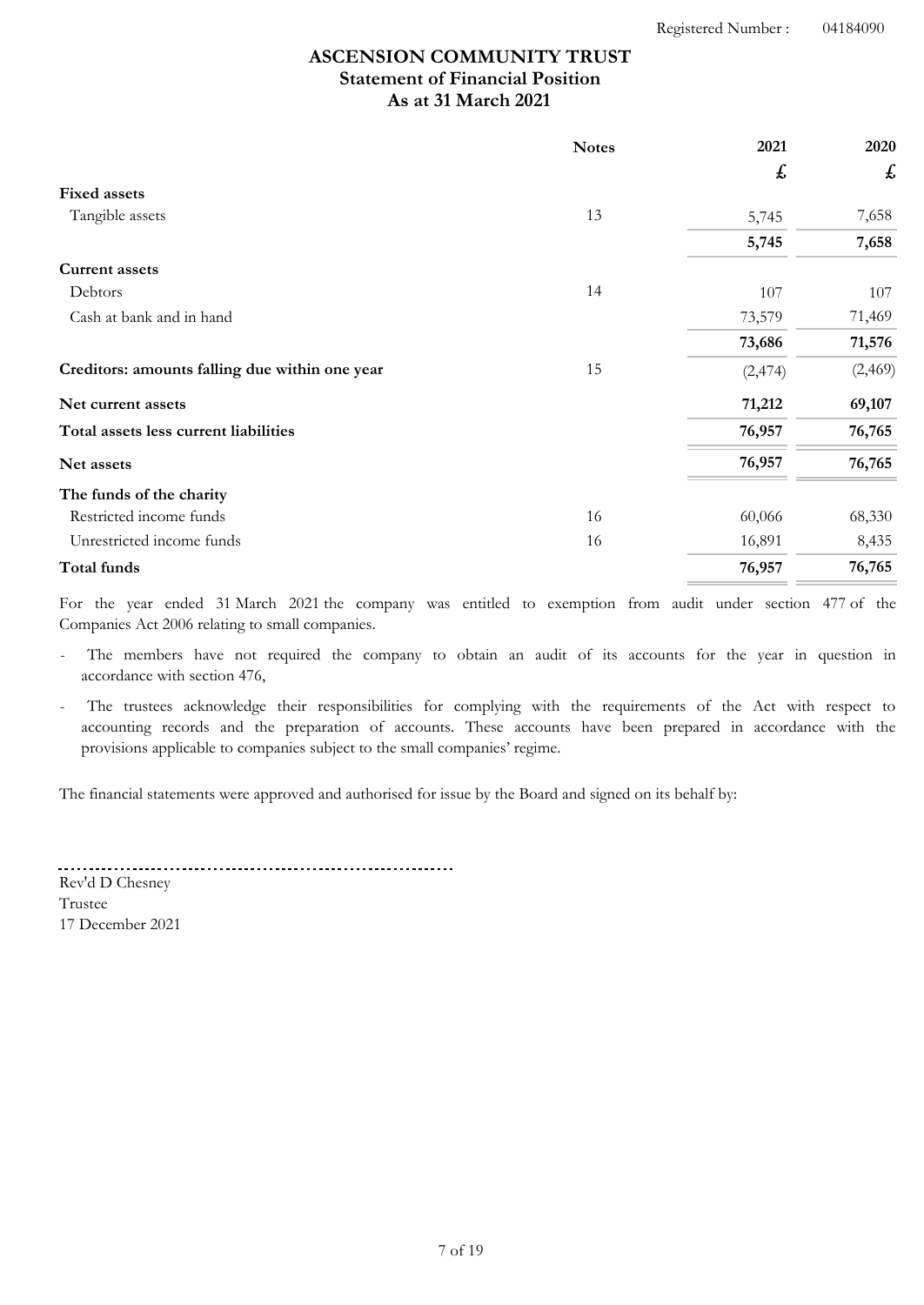# **As at 31 March 2021 ASCENSION COMMUNITY TRUST Statement of Financial Position**

|                                                | <b>Notes</b> | 2021               | 2020    |
|------------------------------------------------|--------------|--------------------|---------|
|                                                |              | $\pmb{\mathit{f}}$ | £       |
| <b>Fixed assets</b>                            |              |                    |         |
| Tangible assets                                | 13           | 5,745              | 7,658   |
|                                                |              | 5,745              | 7,658   |
| <b>Current assets</b>                          |              |                    |         |
| Debtors                                        | 14           | 107                | 107     |
| Cash at bank and in hand                       |              | 73,579             | 71,469  |
|                                                |              | 73,686             | 71,576  |
| Creditors: amounts falling due within one year | 15           | (2, 474)           | (2,469) |
| Net current assets                             |              | 71,212             | 69,107  |
| Total assets less current liabilities          |              | 76,957             | 76,765  |
| Net assets                                     |              | 76,957             | 76,765  |
| The funds of the charity                       |              |                    |         |
| Restricted income funds                        | 16           | 60,066             | 68,330  |
| Unrestricted income funds                      | 16           | 16,891             | 8,435   |
| Total funds                                    |              | 76,957             | 76,765  |

For the year ended 31 March 2021 the company was entitled to exemption from audit under section 477 of the Companies Act 2006 relating to small companies.

The members have not required the company to obtain an audit of its accounts for the year in question in accordance with section 476,

The trustees acknowledge their responsibilities for complying with the requirements of the Act with respect to accounting records and the preparation of accounts. These accounts have been prepared in accordance with the provisions applicable to companies subject to the small companies' regime.

The financial statements were approved and authorised for issue by the Board and signed on its behalf by:

17 December 2021 Rev'd D Chesney Trustee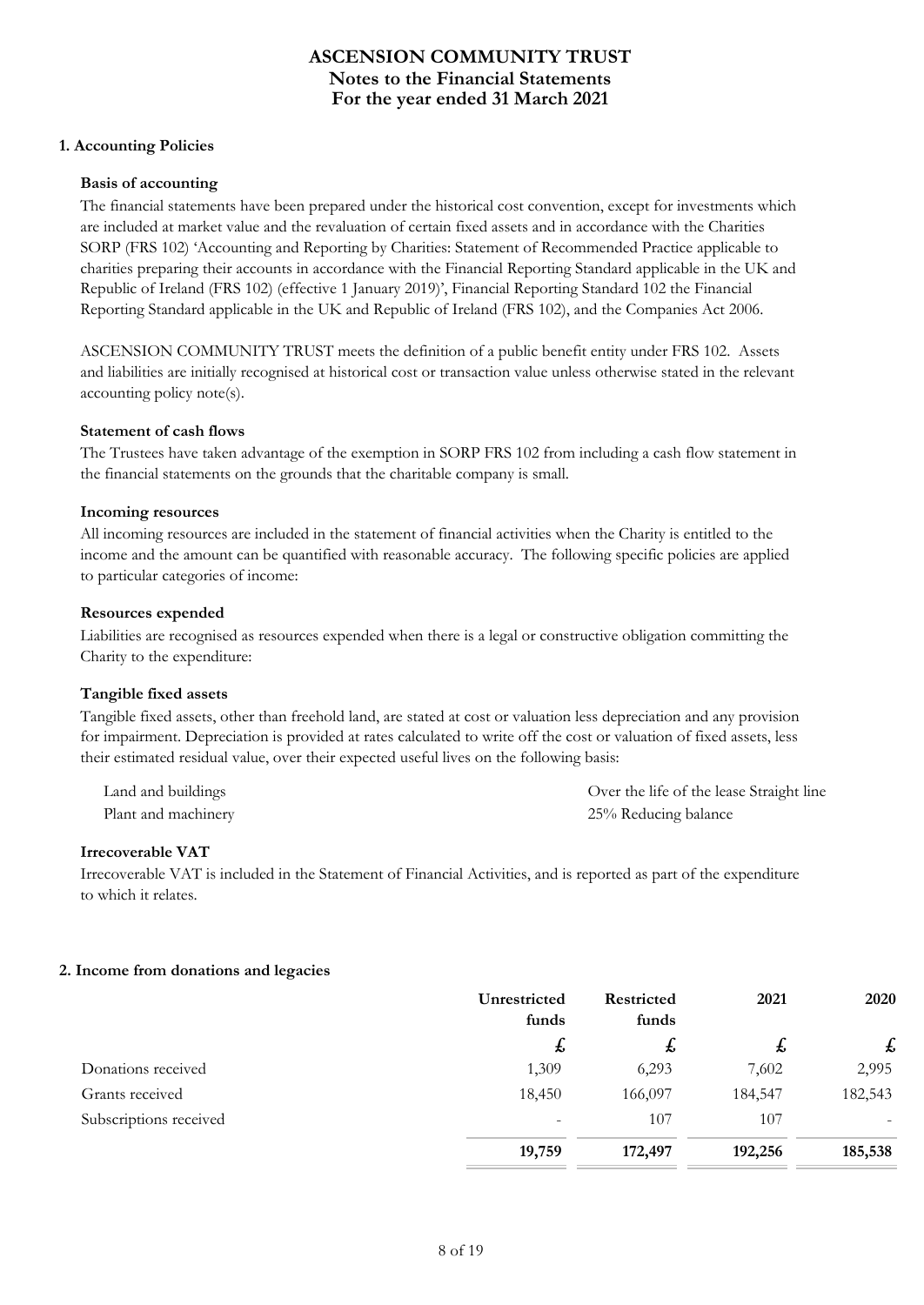### **1. Accounting Policies**

#### **Basis of accounting**

The financial statements have been prepared under the historical cost convention, except for investments which are included at market value and the revaluation of certain fixed assets and in accordance with the Charities SORP (FRS 102) 'Accounting and Reporting by Charities: Statement of Recommended Practice applicable to charities preparing their accounts in accordance with the Financial Reporting Standard applicable in the UK and Republic of Ireland (FRS 102) (effective 1 January 2019)', Financial Reporting Standard 102 the Financial Reporting Standard applicable in the UK and Republic of Ireland (FRS 102), and the Companies Act 2006.

ASCENSION COMMUNITY TRUST meets the definition of a public benefit entity under FRS 102. Assets and liabilities are initially recognised at historical cost or transaction value unless otherwise stated in the relevant accounting policy note(s).

#### **Statement of cash flows**

The Trustees have taken advantage of the exemption in SORP FRS 102 from including a cash flow statement in the financial statements on the grounds that the charitable company is small.

#### **Incoming resources**

All incoming resources are included in the statement of financial activities when the Charity is entitled to the income and the amount can be quantified with reasonable accuracy. The following specific policies are applied to particular categories of income:

#### **Resources expended**

Liabilities are recognised as resources expended when there is a legal or constructive obligation committing the Charity to the expenditure:

#### **Tangible fixed assets**

Tangible fixed assets, other than freehold land, are stated at cost or valuation less depreciation and any provision for impairment. Depreciation is provided at rates calculated to write off the cost or valuation of fixed assets, less their estimated residual value, over their expected useful lives on the following basis:

| Land and buildings  | Over the life of the lease Straight line |
|---------------------|------------------------------------------|
| Plant and machinery | 25% Reducing balance                     |

#### **Irrecoverable VAT**

Irrecoverable VAT is included in the Statement of Financial Activities, and is reported as part of the expenditure to which it relates.

#### **2. Income from donations and legacies**

|                        | Unrestricted<br>funds    | <b>Restricted</b><br>funds | 2021    | 2020    |
|------------------------|--------------------------|----------------------------|---------|---------|
|                        | $\mathbf{f}$             | £,                         | ょ       | £       |
| Donations received     | 1,309                    | 6,293                      | 7,602   | 2,995   |
| Grants received        | 18,450                   | 166,097                    | 184,547 | 182,543 |
| Subscriptions received | $\overline{\phantom{0}}$ | 107                        | 107     |         |
|                        | 19,759                   | 172,497                    | 192,256 | 185,538 |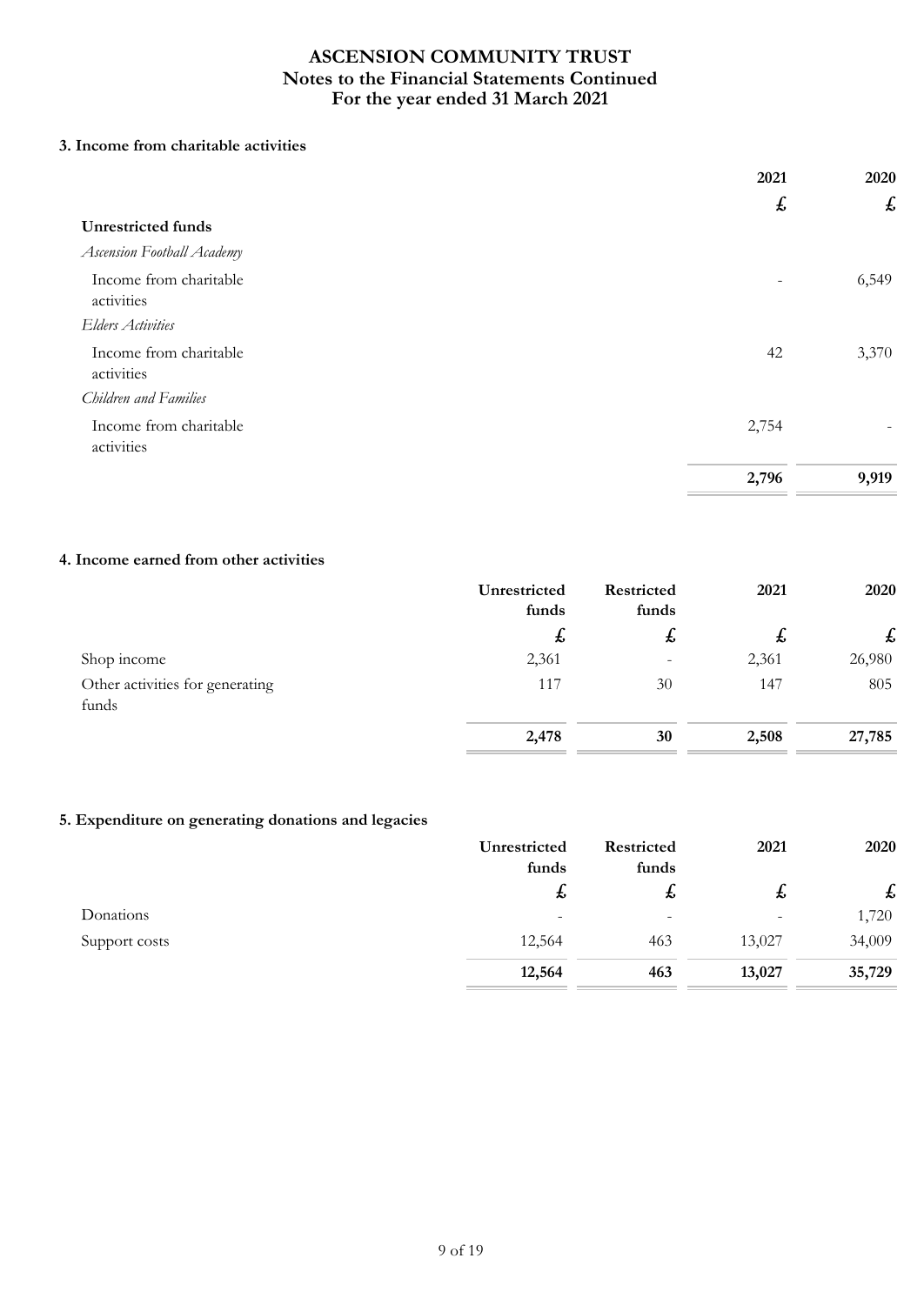## **3. Income from charitable activities**

|                                      | 2021  | 2020                      |
|--------------------------------------|-------|---------------------------|
|                                      | £     | $\boldsymbol{\mathit{f}}$ |
| <b>Unrestricted funds</b>            |       |                           |
| <b>Ascension Football Academy</b>    |       |                           |
| Income from charitable<br>activities |       | 6,549                     |
| <b>Elders Activities</b>             |       |                           |
| Income from charitable<br>activities | 42    | 3,370                     |
| Children and Families                |       |                           |
| Income from charitable<br>activities | 2,754 |                           |
|                                      | 2,796 | 9,919                     |

## **4. Income earned from other activities**

|                                          | Unrestricted<br>funds | Restricted<br>funds      | 2021  | 2020         |
|------------------------------------------|-----------------------|--------------------------|-------|--------------|
|                                          | $\mathbf t$           | ょ                        | 圡     | $\mathbf{f}$ |
| Shop income                              | 2,361                 | $\overline{\phantom{0}}$ | 2,361 | 26,980       |
| Other activities for generating<br>funds | 117                   | 30                       | 147   | 805          |
|                                          | 2,478                 | 30                       | 2,508 | 27,785       |

## **5. Expenditure on generating donations and legacies**

|               | Unrestricted<br>funds | Restricted<br>funds      | 2021                     | 2020   |
|---------------|-----------------------|--------------------------|--------------------------|--------|
|               | ゎ                     | ゎ                        | ゎ                        | £      |
| Donations     | $\qquad \qquad -$     | $\overline{\phantom{a}}$ | $\overline{\phantom{0}}$ | 1,720  |
| Support costs | 12,564                | 463                      | 13,027                   | 34,009 |
|               | 12,564                | 463                      | 13,027                   | 35,729 |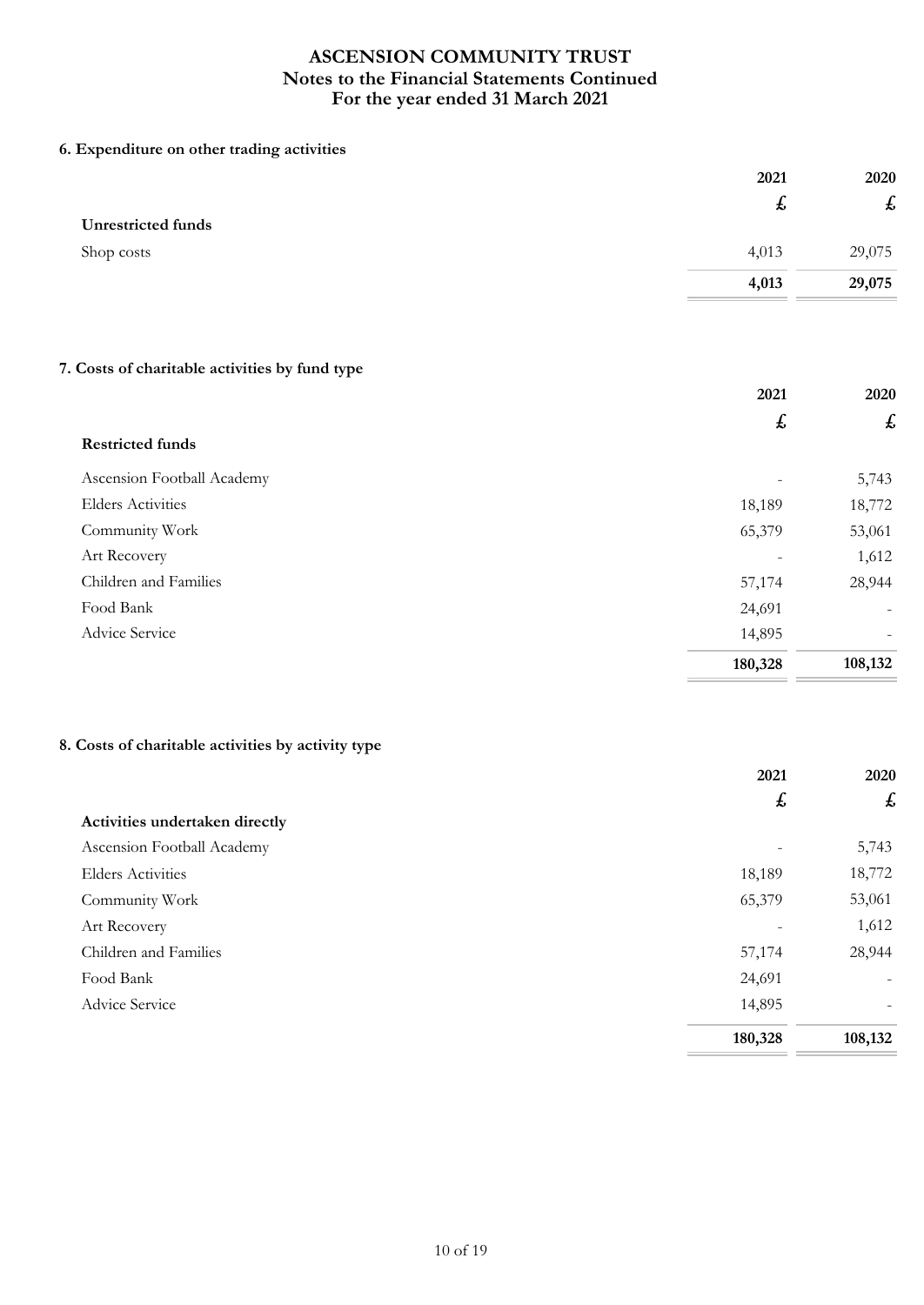## **6. Expenditure on other trading activities**

|                           | 2021  | 2020                      |
|---------------------------|-------|---------------------------|
|                           | ょ     | $\boldsymbol{\mathit{f}}$ |
| <b>Unrestricted funds</b> |       |                           |
| Shop costs                | 4,013 | 29,075                    |
|                           | 4,013 | 29,075                    |
|                           |       |                           |

# **7. Costs of charitable activities by fund type**

|                            | 2021    | 2020                     |
|----------------------------|---------|--------------------------|
|                            | £       | £                        |
| <b>Restricted funds</b>    |         |                          |
| Ascension Football Academy | -       | 5,743                    |
| <b>Elders Activities</b>   | 18,189  | 18,772                   |
| Community Work             | 65,379  | 53,061                   |
| Art Recovery               | -       | 1,612                    |
| Children and Families      | 57,174  | 28,944                   |
| Food Bank                  | 24,691  | $\overline{\phantom{0}}$ |
| Advice Service             | 14,895  |                          |
|                            | 180,328 | 108,132                  |

## **8. Costs of charitable activities by activity type**

|                                | 2021             | 2020    |
|--------------------------------|------------------|---------|
|                                | $\boldsymbol{f}$ | £       |
| Activities undertaken directly |                  |         |
| Ascension Football Academy     |                  | 5,743   |
| <b>Elders Activities</b>       | 18,189           | 18,772  |
| Community Work                 | 65,379           | 53,061  |
| Art Recovery                   |                  | 1,612   |
| Children and Families          | 57,174           | 28,944  |
| Food Bank                      | 24,691           |         |
| Advice Service                 | 14,895           |         |
|                                | 180,328          | 108,132 |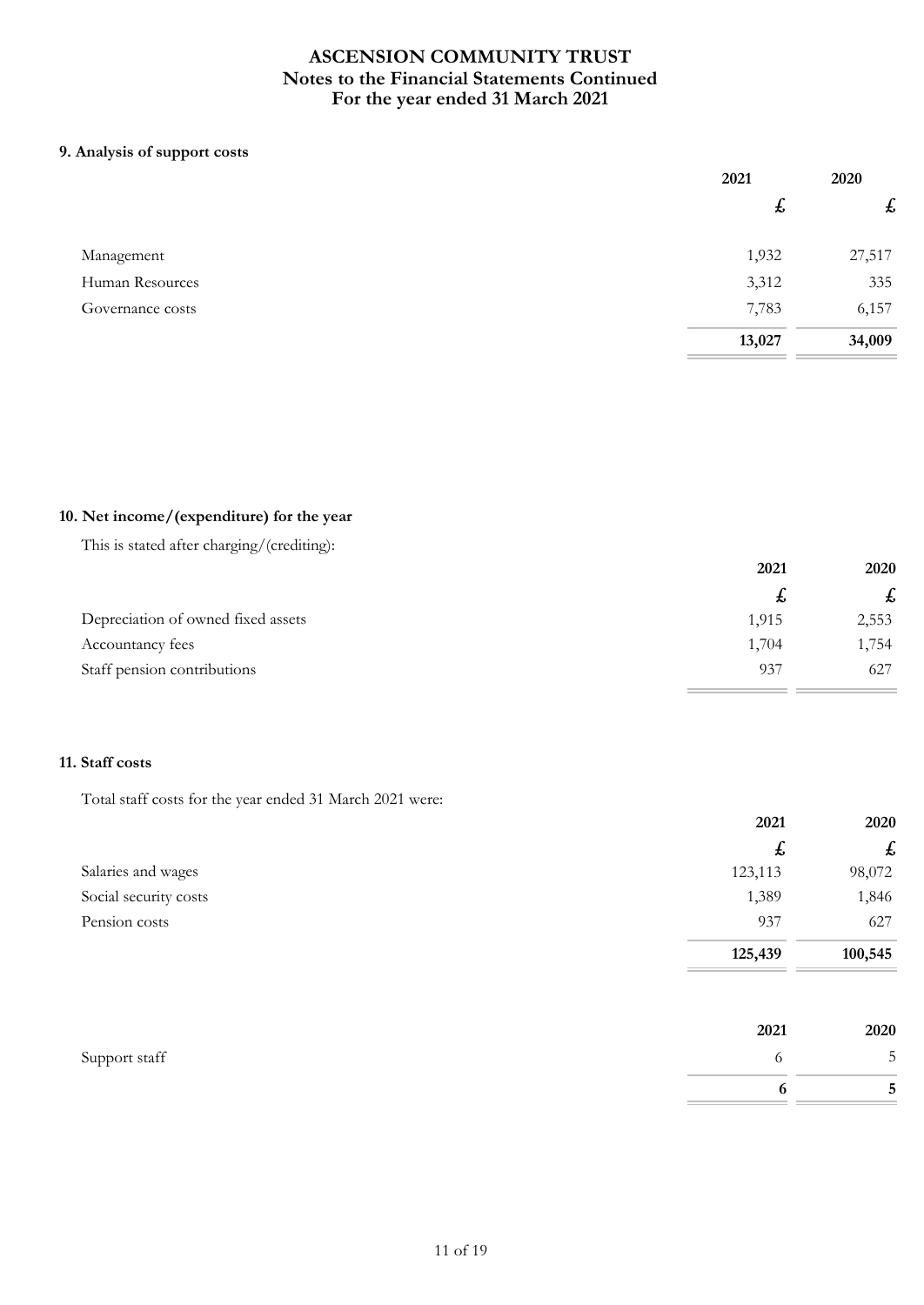## **9. Analysis of support costs**

|                  | 2021             | 2020               |
|------------------|------------------|--------------------|
|                  | $\boldsymbol{t}$ | $\pmb{\mathit{f}}$ |
| Management       | 1,932            | 27,517             |
| Human Resources  | 3,312            | 335                |
| Governance costs | 7,783            | 6,157              |
|                  | 13,027           | 34,009             |

## **10. Net income/(expenditure) for the year**

| This is stated after charging/(crediting): |       |             |
|--------------------------------------------|-------|-------------|
|                                            | 2021  | <b>2020</b> |
|                                            | £,    | £           |
| Depreciation of owned fixed assets         | 1,915 | 2,553       |
| Accountancy fees                           | 1,704 | 1,754       |
| Staff pension contributions                | 937   | 627         |

# **11. Staff costs**

Total staff costs for the year ended 31 March 2021 were:

|                       | 2021        | 2020    |
|-----------------------|-------------|---------|
|                       | $\mathbf t$ | £       |
| Salaries and wages    | 123,113     | 98,072  |
| Social security costs | 1,389       | 1,846   |
| Pension costs         | 937         | 627     |
|                       | 125,439     | 100,545 |
|                       |             |         |

|               | 2021 | 2020                          |
|---------------|------|-------------------------------|
| Support staff |      | $\mathbb{R}$<br>$\mathcal{D}$ |
|               |      | $\overline{ }$<br>ັ           |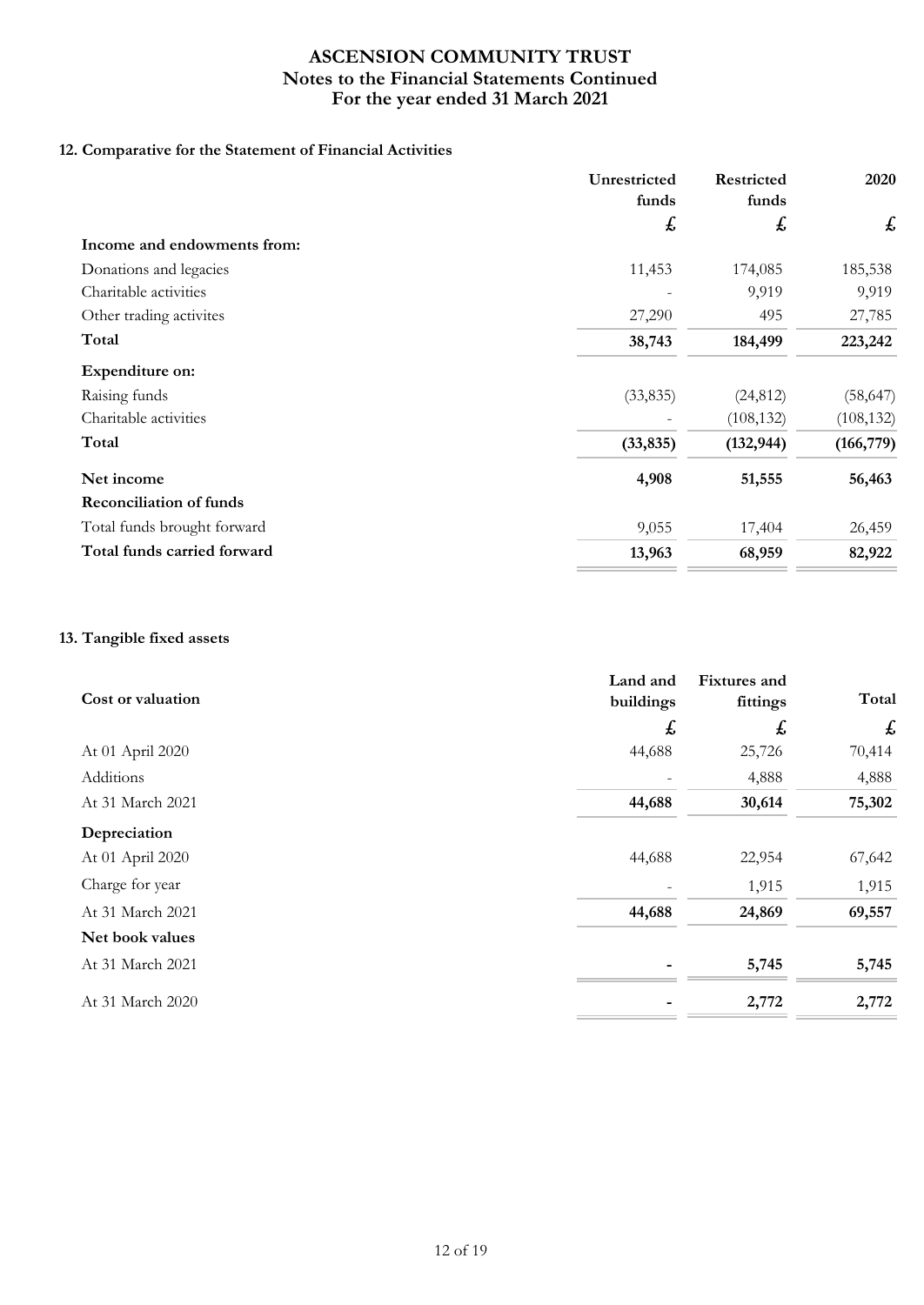# **12. Comparative for the Statement of Financial Activities**

|                                | Unrestricted<br>funds | Restricted<br>funds | 2020       |
|--------------------------------|-----------------------|---------------------|------------|
|                                | £                     | £                   | £          |
| Income and endowments from:    |                       |                     |            |
| Donations and legacies         | 11,453                | 174,085             | 185,538    |
| Charitable activities          |                       | 9,919               | 9,919      |
| Other trading activites        | 27,290                | 495                 | 27,785     |
| Total                          | 38,743                | 184,499             | 223,242    |
| Expenditure on:                |                       |                     |            |
| Raising funds                  | (33, 835)             | (24, 812)           | (58, 647)  |
| Charitable activities          |                       | (108, 132)          | (108, 132) |
| Total                          | (33, 835)             | (132, 944)          | (166, 779) |
| Net income                     | 4,908                 | 51,555              | 56,463     |
| <b>Reconciliation of funds</b> |                       |                     |            |
| Total funds brought forward    | 9,055                 | 17,404              | 26,459     |
| Total funds carried forward    | 13,963                | 68,959              | 82,922     |

## **13. Tangible fixed assets**

| Cost or valuation | Land and<br>buildings | <b>Fixtures</b> and<br>fittings | Total  |
|-------------------|-----------------------|---------------------------------|--------|
|                   | £                     | £                               | £      |
| At 01 April 2020  | 44,688                | 25,726                          | 70,414 |
| Additions         |                       | 4,888                           | 4,888  |
| At 31 March 2021  | 44,688                | 30,614                          | 75,302 |
| Depreciation      |                       |                                 |        |
| At 01 April 2020  | 44,688                | 22,954                          | 67,642 |
| Charge for year   |                       | 1,915                           | 1,915  |
| At 31 March 2021  | 44,688                | 24,869                          | 69,557 |
| Net book values   |                       |                                 |        |
| At 31 March 2021  |                       | 5,745                           | 5,745  |
| At 31 March 2020  |                       | 2,772                           | 2,772  |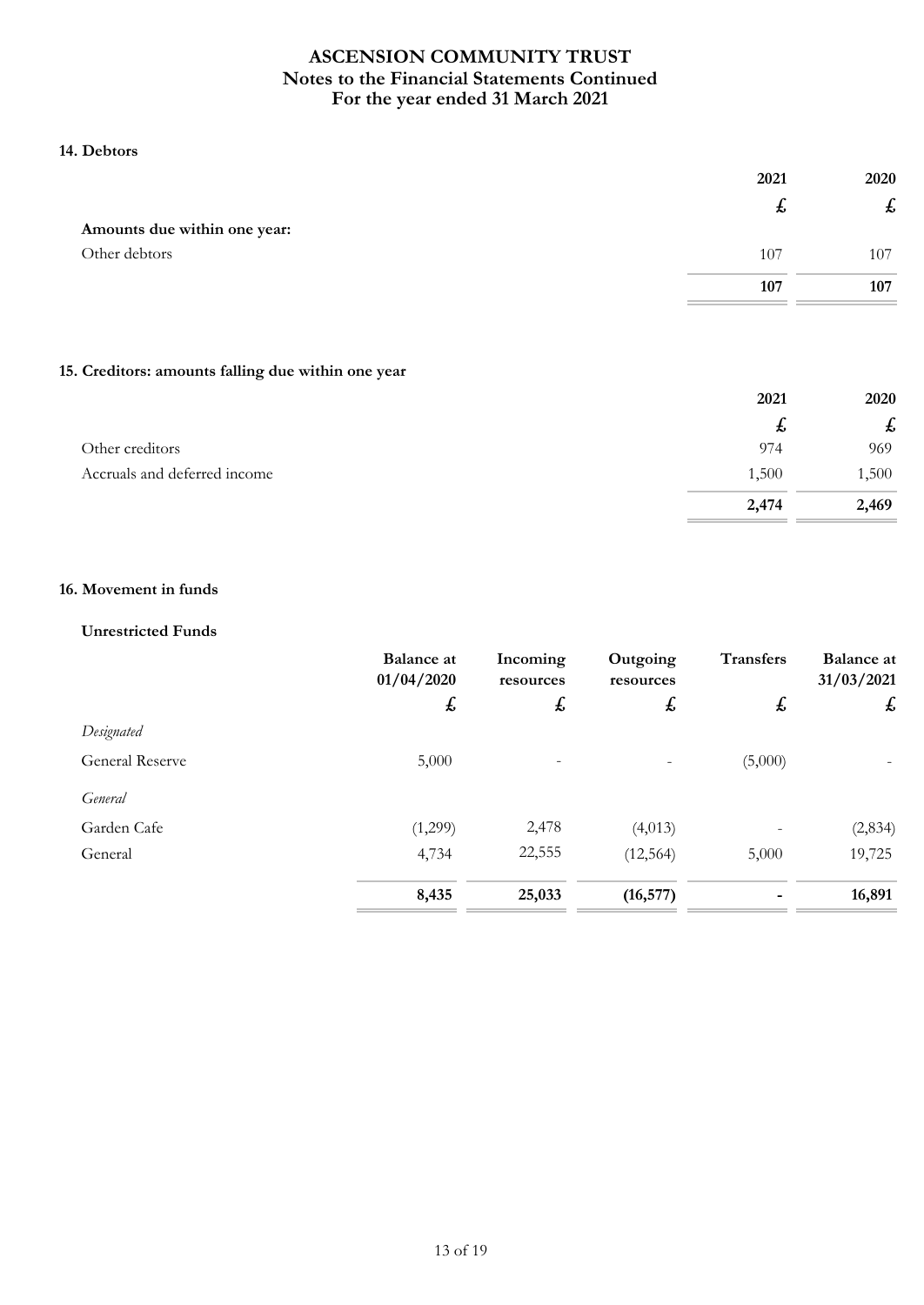## **14. Debtors**

|                              | 2021 | 2020 |
|------------------------------|------|------|
|                              | ゎ    | た    |
| Amounts due within one year: |      |      |
| Other debtors                | 107  | 107  |
|                              | 107  | 107  |

## **15. Creditors: amounts falling due within one year**

|                              | 2021  | 2020  |
|------------------------------|-------|-------|
|                              | た     | t,    |
| Other creditors              | 974   | 969   |
| Accruals and deferred income | 1,500 | 1,500 |
|                              | 2,474 | 2,469 |

## **16. Movement in funds**

### **Unrestricted Funds**

|                        | <b>Balance</b> at<br>01/04/2020 | Incoming<br>resources | Outgoing<br>resources | <b>Transfers</b> | <b>Balance</b> at<br>31/03/2021 |
|------------------------|---------------------------------|-----------------------|-----------------------|------------------|---------------------------------|
|                        | £                               | £                     | $\boldsymbol{f}$      | £                | £                               |
| Designated             |                                 |                       |                       |                  |                                 |
| <b>General Reserve</b> | 5,000                           | $\qquad \qquad -$     |                       | (5,000)          |                                 |
| General                |                                 |                       |                       |                  |                                 |
| Garden Cafe            | (1,299)                         | 2,478                 | (4,013)               |                  | (2, 834)                        |
| General                | 4,734                           | 22,555                | (12, 564)             | 5,000            | 19,725                          |
|                        | 8,435                           | 25,033                | (16, 577)             |                  | 16,891                          |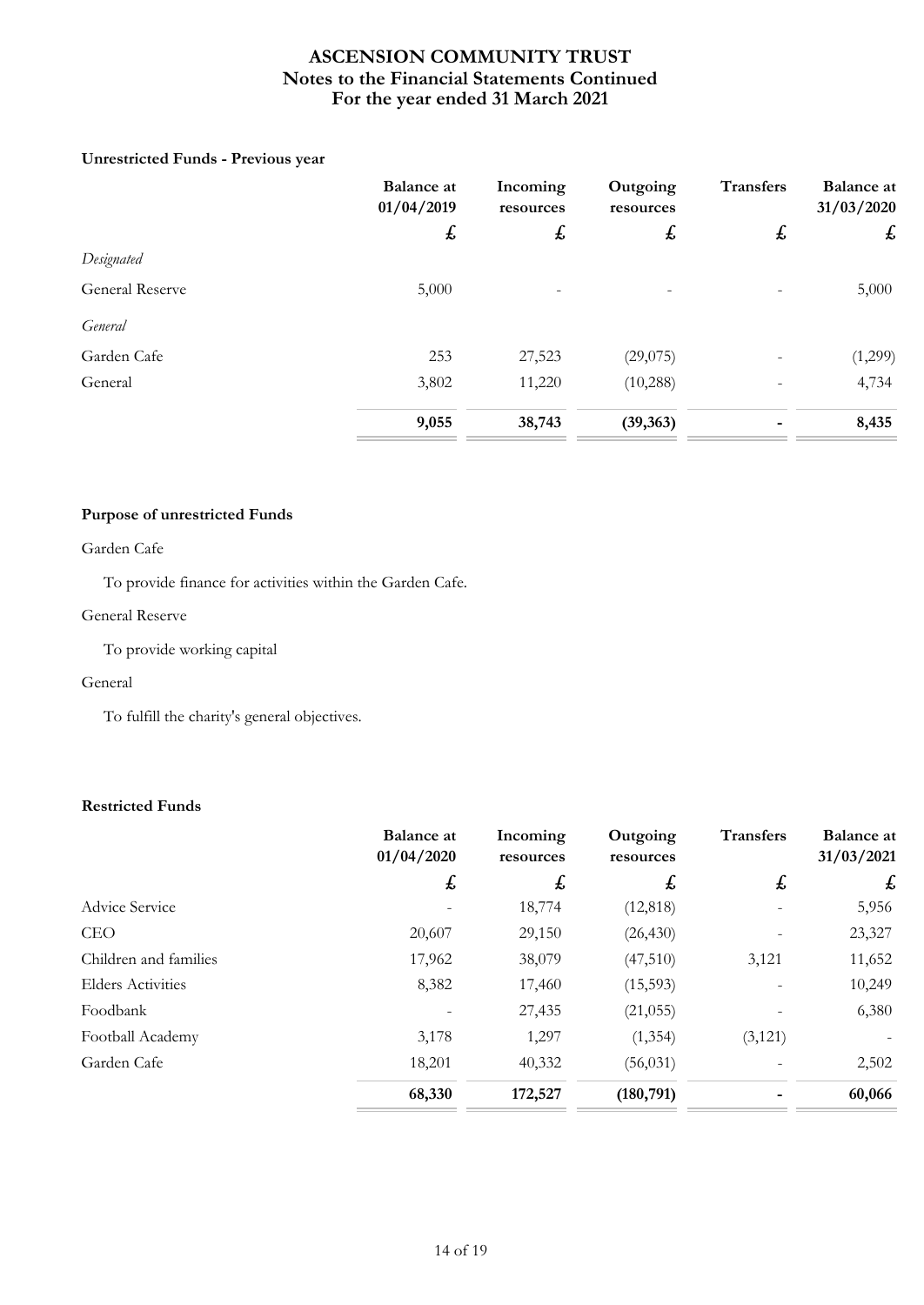## **Unrestricted Funds - Previous year**

|                        | <b>Balance</b> at<br>01/04/2019 | Incoming<br>resources | Outgoing<br>resources | <b>Transfers</b> | <b>Balance</b> at<br>31/03/2020 |
|------------------------|---------------------------------|-----------------------|-----------------------|------------------|---------------------------------|
|                        | £                               | $\mathbf{f}$          | $\mathbf{f}$          | £                | £                               |
| Designated             |                                 |                       |                       |                  |                                 |
| <b>General Reserve</b> | 5,000                           |                       |                       |                  | 5,000                           |
| General                |                                 |                       |                       |                  |                                 |
| Garden Cafe            | 253                             | 27,523                | (29,075)              |                  | (1,299)                         |
| General                | 3,802                           | 11,220                | (10, 288)             |                  | 4,734                           |
|                        | 9,055                           | 38,743                | (39, 363)             |                  | 8,435                           |

## **Purpose of unrestricted Funds**

## Garden Cafe

To provide finance for activities within the Garden Cafe.

### General Reserve

To provide working capital

#### General

To fulfill the charity's general objectives.

## **Restricted Funds**

|                          | <b>Balance</b> at<br>01/04/2020 | Incoming<br>resources | Outgoing<br>resources | <b>Transfers</b> | <b>Balance at</b><br>31/03/2021 |
|--------------------------|---------------------------------|-----------------------|-----------------------|------------------|---------------------------------|
|                          | $\mathbf{f}$                    | £                     | $\mathbf{f}$          | $\mathbf{f}$     | £                               |
| Advice Service           |                                 | 18,774                | (12, 818)             |                  | 5,956                           |
| <b>CEO</b>               | 20,607                          | 29,150                | (26, 430)             |                  | 23,327                          |
| Children and families    | 17,962                          | 38,079                | (47,510)              | 3,121            | 11,652                          |
| <b>Elders Activities</b> | 8,382                           | 17,460                | (15,593)              |                  | 10,249                          |
| Foodbank                 |                                 | 27,435                | (21, 055)             |                  | 6,380                           |
| Football Academy         | 3,178                           | 1,297                 | (1, 354)              | (3, 121)         |                                 |
| Garden Cafe              | 18,201                          | 40,332                | (56, 031)             |                  | 2,502                           |
|                          | 68,330                          | 172,527               | (180, 791)            |                  | 60,066                          |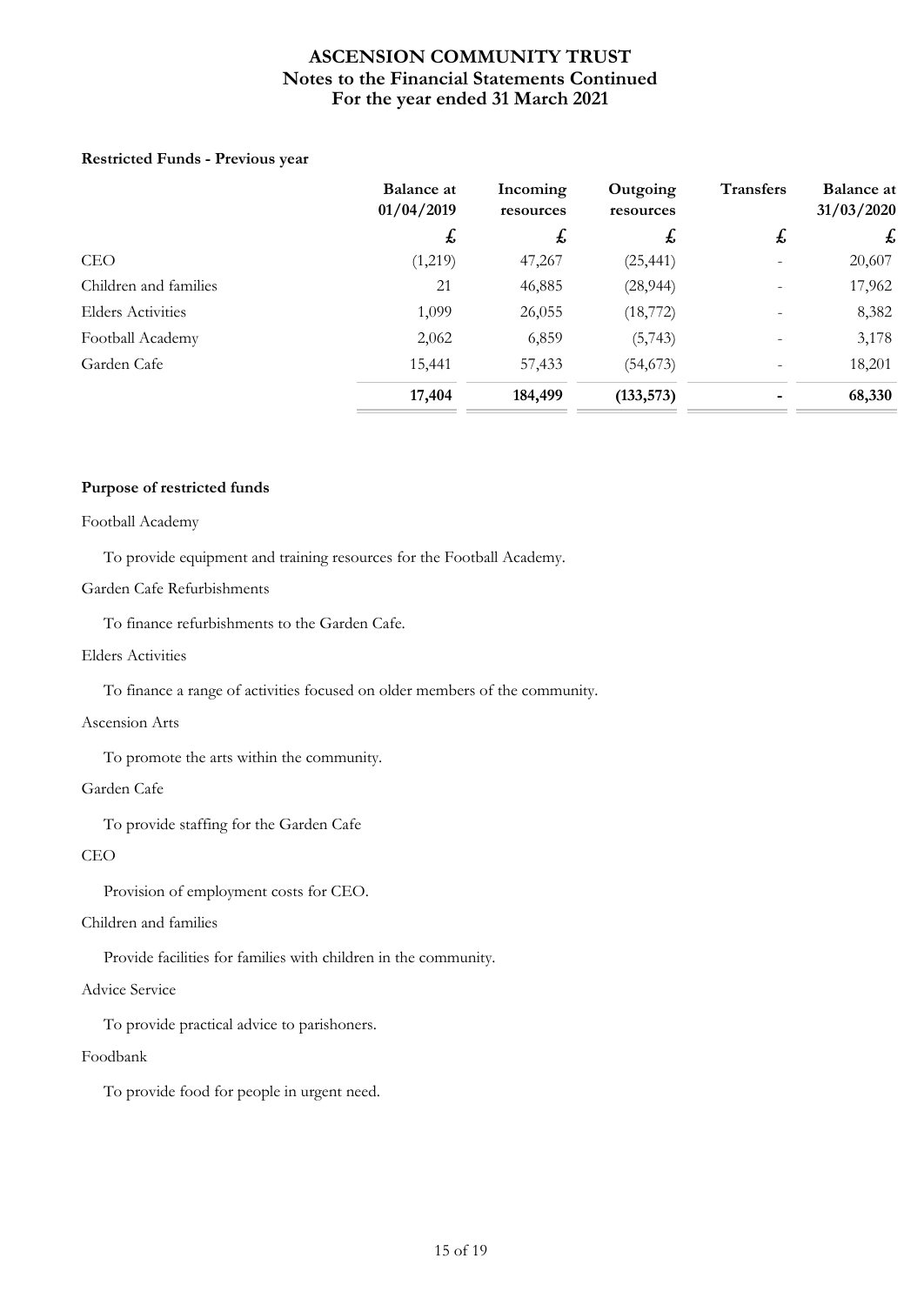## **Restricted Funds - Previous year**

|                          | <b>Balance at</b><br>01/04/2019 | Incoming<br>resources | Outgoing<br>resources | <b>Transfers</b>         | <b>Balance at</b><br>31/03/2020 |
|--------------------------|---------------------------------|-----------------------|-----------------------|--------------------------|---------------------------------|
|                          | $\mathbf{t}$                    | $\mathbf{t}$          | £,                    | $\mathbf{f}$             | $\mathbf{f}$                    |
| <b>CEO</b>               | (1,219)                         | 47,267                | (25, 441)             | $\overline{\phantom{a}}$ | 20,607                          |
| Children and families    | 21                              | 46,885                | (28, 944)             | $\overline{\phantom{a}}$ | 17,962                          |
| <b>Elders Activities</b> | 1,099                           | 26,055                | (18, 772)             |                          | 8,382                           |
| Football Academy         | 2,062                           | 6,859                 | (5,743)               |                          | 3,178                           |
| Garden Cafe              | 15,441                          | 57,433                | (54, 673)             |                          | 18,201                          |
|                          | 17,404                          | 184,499               | (133, 573)            |                          | 68,330                          |

#### **Purpose of restricted funds**

#### Football Academy

To provide equipment and training resources for the Football Academy.

#### Garden Cafe Refurbishments

To finance refurbishments to the Garden Cafe.

#### Elders Activities

To finance a range of activities focused on older members of the community.

#### Ascension Arts

To promote the arts within the community.

#### Garden Cafe

To provide staffing for the Garden Cafe

#### CEO

Provision of employment costs for CEO.

#### Children and families

Provide facilities for families with children in the community.

## Advice Service

To provide practical advice to parishoners.

#### Foodbank

To provide food for people in urgent need.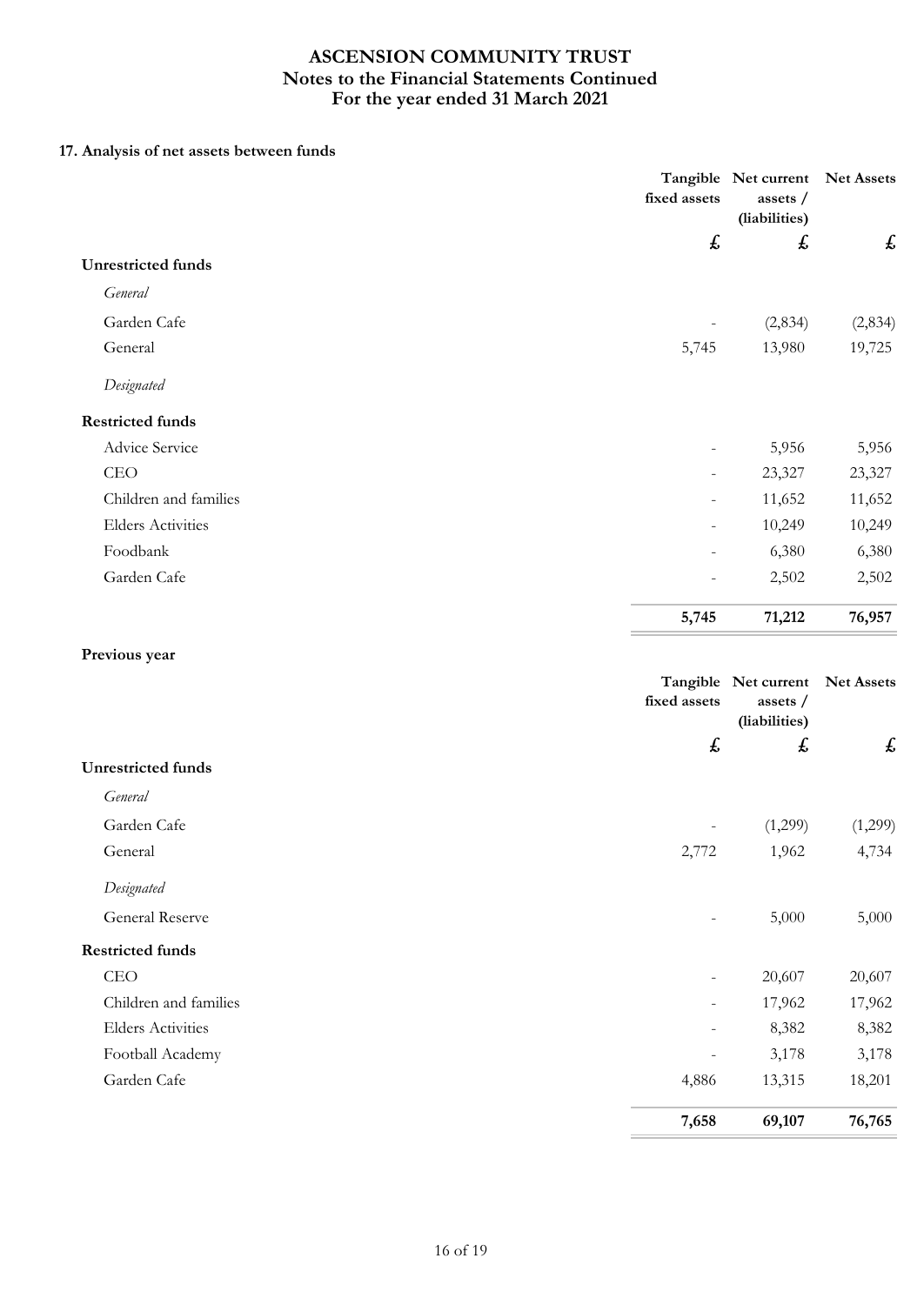# **17. Analysis of net assets between funds**

|                           | fixed assets              | Tangible Net current<br>assets /<br>(liabilities) | <b>Net Assets</b> |
|---------------------------|---------------------------|---------------------------------------------------|-------------------|
|                           | $\boldsymbol{\mathit{f}}$ | £                                                 | £                 |
| <b>Unrestricted funds</b> |                           |                                                   |                   |
| General                   |                           |                                                   |                   |
| Garden Cafe               | $\overline{\phantom{a}}$  | (2,834)                                           | (2,834)           |
| General                   | 5,745                     | 13,980                                            | 19,725            |
| Designated                |                           |                                                   |                   |
| <b>Restricted funds</b>   |                           |                                                   |                   |
| Advice Service            |                           | 5,956                                             | 5,956             |
| <b>CEO</b>                |                           | 23,327                                            | 23,327            |
| Children and families     |                           | 11,652                                            | 11,652            |
| <b>Elders Activities</b>  |                           | 10,249                                            | 10,249            |
| Foodbank                  |                           | 6,380                                             | 6,380             |
| Garden Cafe               |                           | 2,502                                             | 2,502             |
|                           | 5,745                     | 71,212                                            | 76,957            |
| Previous year             |                           |                                                   |                   |
|                           | fixed assets              | Tangible Net current<br>assets /<br>(liabilities) | <b>Net Assets</b> |
|                           | $\pmb{\mathit{f}}$        | £                                                 | £                 |
| <b>Unrestricted funds</b> |                           |                                                   |                   |
| General                   |                           |                                                   |                   |
| Garden Cafe               |                           | (1,299)                                           | (1,299)           |
| General                   | 2,772                     | 1,962                                             | 4,734             |
| Designated                |                           |                                                   |                   |
| General Reserve           |                           | 5,000                                             | 5,000             |
| <b>Restricted funds</b>   |                           |                                                   |                   |
| CEO                       |                           | 20,607                                            | 20,607            |
| Children and families     |                           | 17,962                                            | 17,962            |
| <b>Elders Activities</b>  |                           | 8,382                                             | 8,382             |
| Football Academy          | $\overline{\phantom{0}}$  | 3,178                                             | 3,178             |
| Garden Cafe               | 4,886                     | 13,315                                            | 18,201            |
|                           | 7,658                     | 69,107                                            | 76,765            |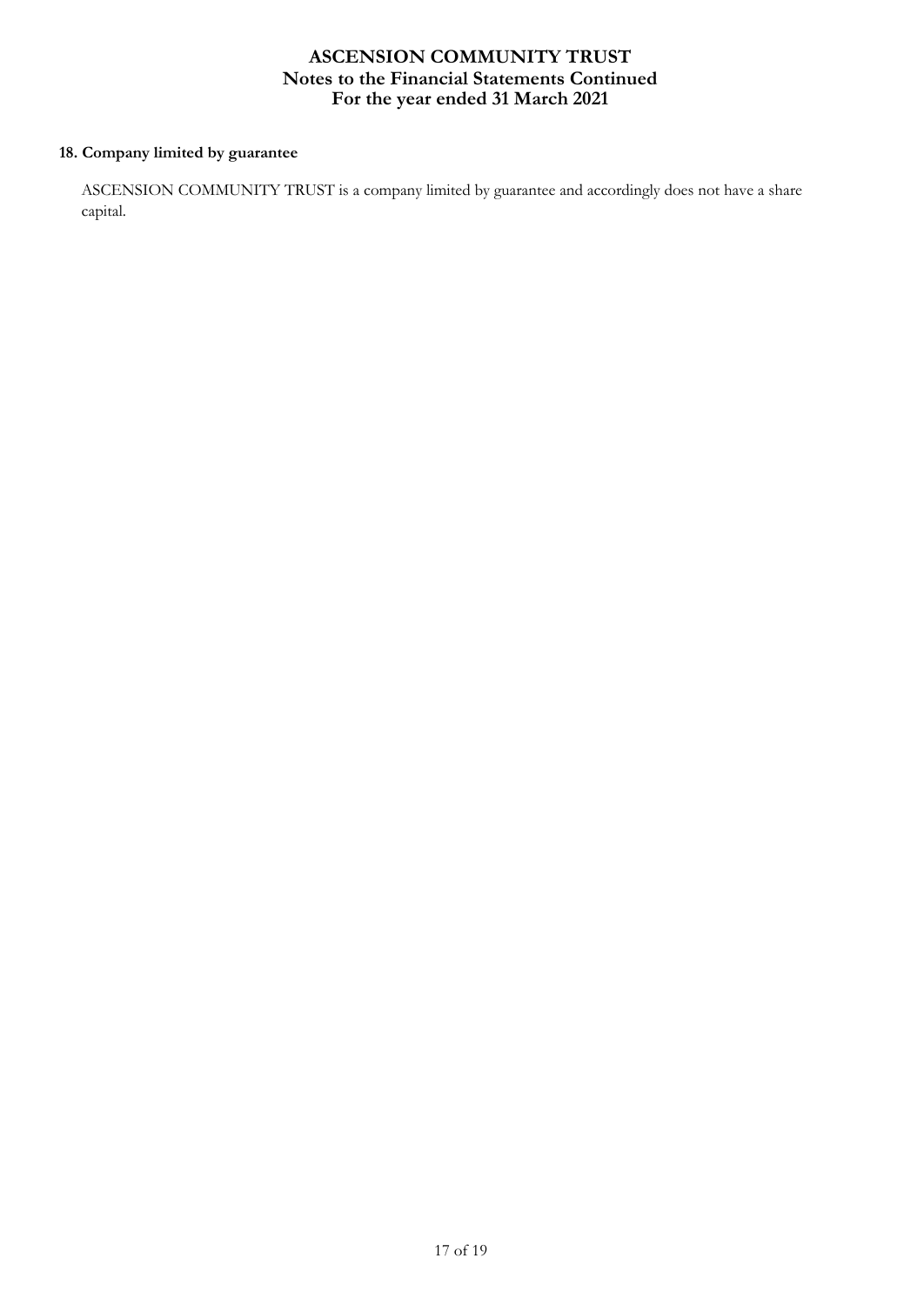## **18. Company limited by guarantee**

ASCENSION COMMUNITY TRUST is a company limited by guarantee and accordingly does not have a share capital.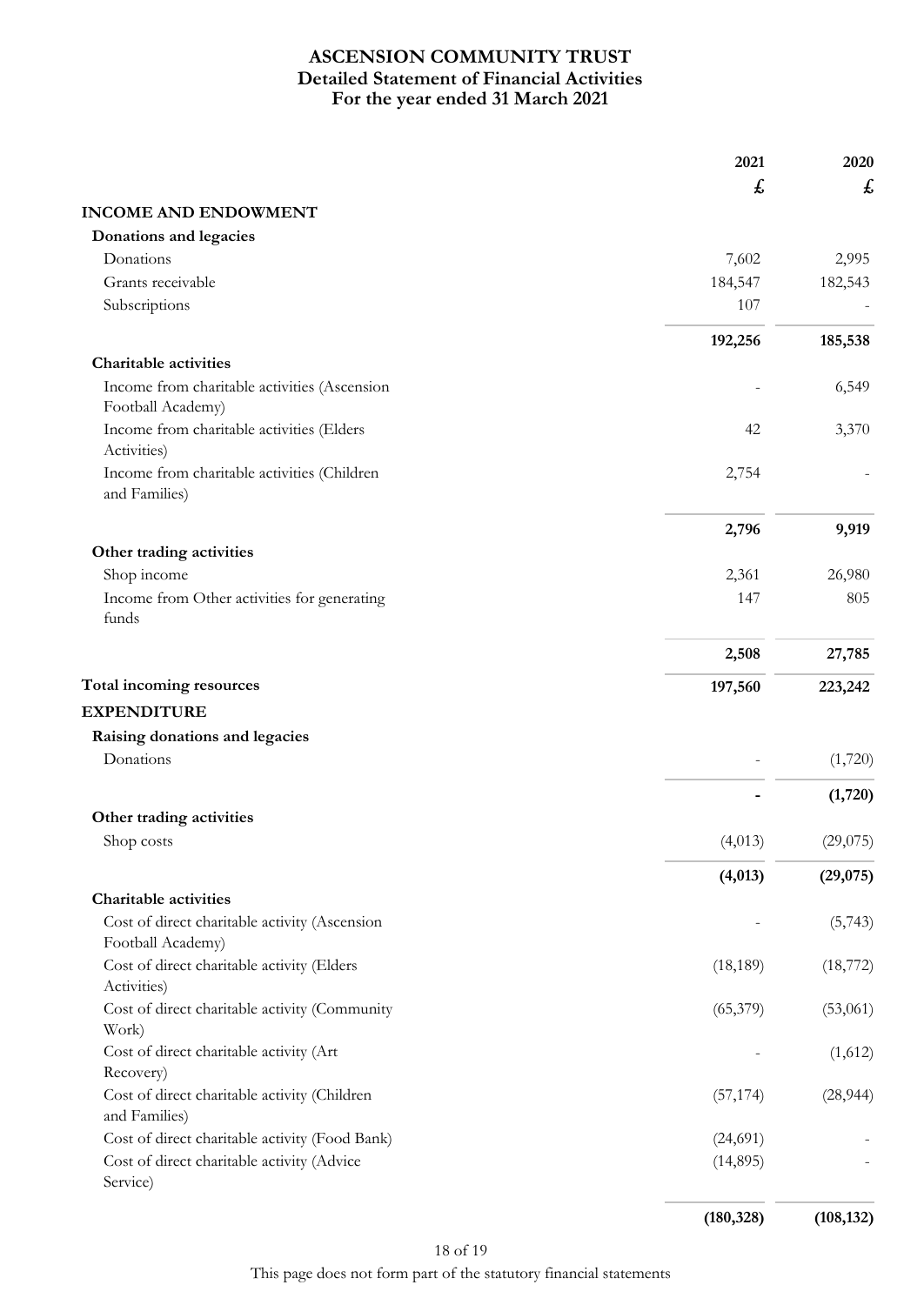# **For the year ended 31 March 2021 ASCENSION COMMUNITY TRUST Detailed Statement of Financial Activities**

|                                                                    | 2021       | 2020       |
|--------------------------------------------------------------------|------------|------------|
|                                                                    | £          | £          |
| <b>INCOME AND ENDOWMENT</b>                                        |            |            |
| Donations and legacies                                             |            |            |
| Donations                                                          | 7,602      | 2,995      |
| Grants receivable                                                  | 184,547    | 182,543    |
| Subscriptions                                                      | 107        |            |
|                                                                    | 192,256    | 185,538    |
| Charitable activities                                              |            |            |
| Income from charitable activities (Ascension<br>Football Academy)  |            | 6,549      |
| Income from charitable activities (Elders<br>Activities)           | 42         | 3,370      |
| Income from charitable activities (Children<br>and Families)       | 2,754      |            |
|                                                                    | 2,796      | 9,919      |
| Other trading activities                                           |            |            |
| Shop income                                                        | 2,361      | 26,980     |
| Income from Other activities for generating<br>funds               | 147        | 805        |
|                                                                    | 2,508      | 27,785     |
| Total incoming resources                                           | 197,560    | 223,242    |
| <b>EXPENDITURE</b>                                                 |            |            |
| Raising donations and legacies                                     |            |            |
| Donations                                                          |            | (1,720)    |
|                                                                    |            | (1,720)    |
| Other trading activities<br>Shop costs                             | (4,013)    | (29,075)   |
|                                                                    | (4,013)    | (29, 075)  |
| Charitable activities                                              |            |            |
| Cost of direct charitable activity (Ascension<br>Football Academy) |            | (5,743)    |
| Cost of direct charitable activity (Elders                         | (18, 189)  | (18, 772)  |
| Activities)<br>Cost of direct charitable activity (Community       | (65,379)   | (53,061)   |
| Work)                                                              |            |            |
| Cost of direct charitable activity (Art<br>Recovery)               |            | (1,612)    |
| Cost of direct charitable activity (Children<br>and Families)      | (57, 174)  | (28, 944)  |
| Cost of direct charitable activity (Food Bank)                     | (24,691)   |            |
| Cost of direct charitable activity (Advice<br>Service)             | (14, 895)  |            |
|                                                                    | (180, 328) | (108, 132) |